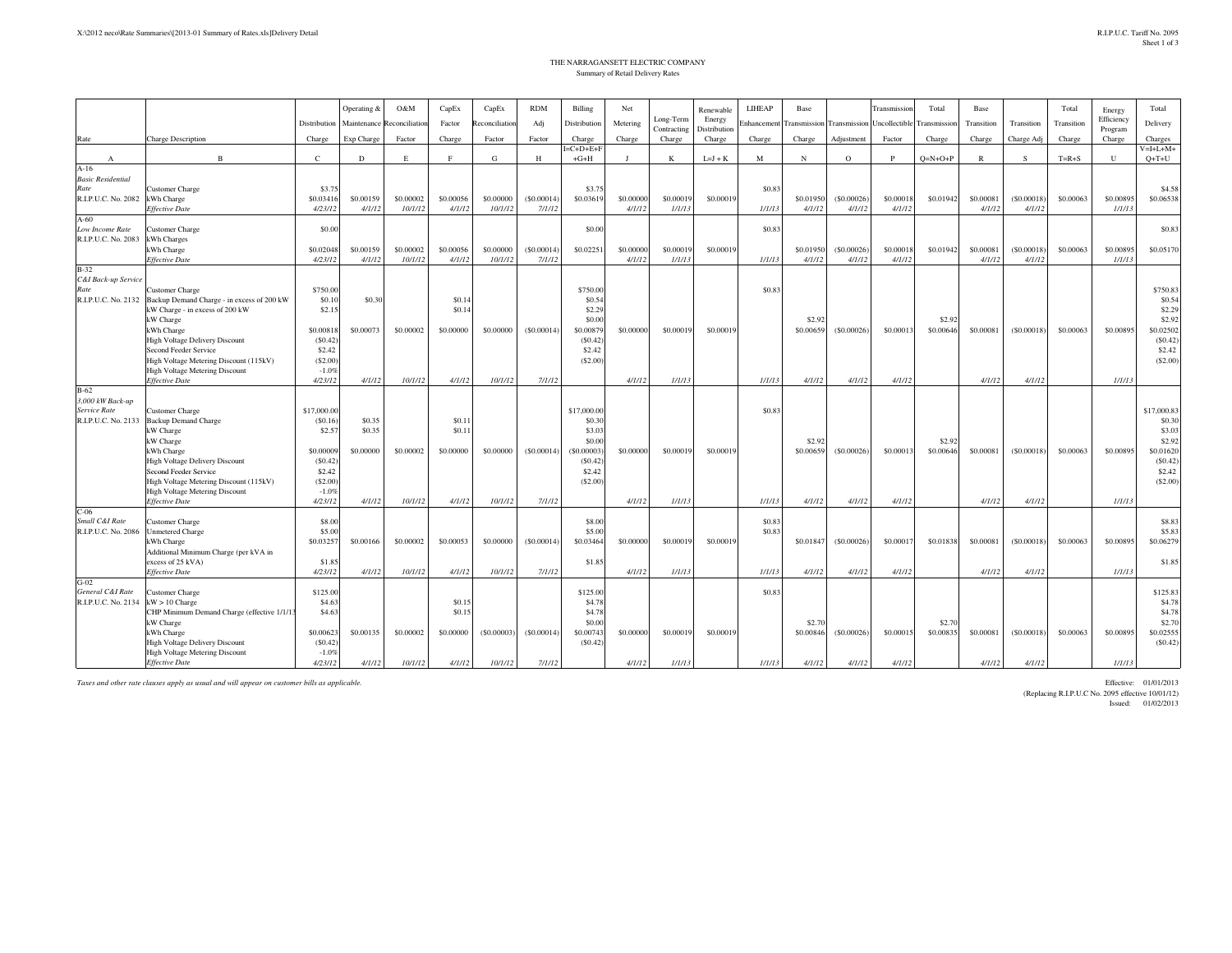## THE NARRAGANSETT ELECTRIC COMPANYSummary of Retail Delivery Rates

|                                  |                                                                               |                     | Operating & | O&M          | CapEx           | CapEx         | <b>RDM</b> | Billing             | Net       |                          | Renewable              | <b>LIHEAP</b>      | Base         |              | Transmission         | Total        | Base         |              | Total      | Energy            | Total               |
|----------------------------------|-------------------------------------------------------------------------------|---------------------|-------------|--------------|-----------------|---------------|------------|---------------------|-----------|--------------------------|------------------------|--------------------|--------------|--------------|----------------------|--------------|--------------|--------------|------------|-------------------|---------------------|
|                                  |                                                                               | Distribution        | Maintenance | econciliatio | Factor          | econciliation | Adj        | Distribution        | Metering  | Long-Term<br>Contracting | Energy<br>Distribution | <i>inhancement</i> | Transmission | Transmission | <b>Jncollectible</b> | Transmission | Transition   | Transition   | Transition | Efficiency        | Delivery            |
| Rate                             | <b>Charge Description</b>                                                     | Charge              | Exp Charge  | Factor       | Charge          | Factor        | Factor     | Charge              | Charge    | Charge                   | Charge                 | Charge             | Charge       | Adjustment   | Factor               | Charge       | Charge       | Charge Adj   | Charge     | Program<br>Charge | Charges             |
|                                  |                                                                               |                     |             |              |                 |               |            | $=C+D+E+F$          |           |                          |                        |                    |              |              |                      |              |              |              |            |                   | $V = I + L + M +$   |
| $\mathbf{A}$                     | $\mathbf{B}$                                                                  | $\mathbf C$         | D           | Е            | $\mathbf{F}$    | G             | H          | $+G+H$              | - 1       | K                        | $L = J + K$            | M                  | N            | $\circ$      | $\mathbf{P}$         | $Q=N+O+P$    | $\mathbb{R}$ | s            | $T=R+S$    | U                 | $O+T+U$             |
| $A-16$                           |                                                                               |                     |             |              |                 |               |            |                     |           |                          |                        |                    |              |              |                      |              |              |              |            |                   |                     |
| <b>Basic Residential</b>         |                                                                               |                     |             |              |                 |               |            |                     |           |                          |                        |                    |              |              |                      |              |              |              |            |                   |                     |
| Rate                             | Customer Charge                                                               | \$3.75<br>\$0.03416 | \$0,00159   | \$0,00002    | \$0.00056       | \$0,00000     | (S0,00014) | \$3.75<br>\$0,03619 | \$0,00000 | \$0,00019                | \$0,00019              | \$0.83             | \$0,01950    | (S0,00026)   | \$0,00018            | \$0.01942    | \$0.00081    | ( \$0.00018) | \$0.00063  | \$0.00895         | \$4.58<br>\$0,06538 |
| R.I.P.U.C. No. 2082              | kWh Charge<br><b>Effective Date</b>                                           | 4/23/12             | 4/1/12      | 10/1/12      | 4/1/12          | 10/1/12       | 7/1/12     |                     | 4/1/12    | 1/1/13                   |                        | 1/1/13             | 4/1/12       | 4/1/12       | 4/1/12               |              | 4/1/12       | 4/1/12       |            | 1/1/13            |                     |
| $A-60$                           |                                                                               |                     |             |              |                 |               |            |                     |           |                          |                        |                    |              |              |                      |              |              |              |            |                   |                     |
| Low Income Rate                  | Customer Charge                                                               | \$0.00              |             |              |                 |               |            | \$0.00              |           |                          |                        | \$0.83             |              |              |                      |              |              |              |            |                   | \$0.83              |
| R.I.P.U.C. No. 2083              | Wh Charges                                                                    |                     |             |              |                 |               |            |                     |           |                          |                        |                    |              |              |                      |              |              |              |            |                   |                     |
|                                  | kWh Charge                                                                    | \$0.02048           | \$0.00159   | \$0,00002    | \$0,00056       | \$0,00000     | (S0.00014) | \$0.02251           | \$0,00000 | \$0,00019                | \$0.00019              |                    | \$0.01950    | (S0.00026)   | \$0.00018            | \$0.01942    | \$0,00081    | (S0.00018)   | \$0,00063  | \$0,00895         | \$0.05170           |
|                                  | <b>Effective Date</b>                                                         | 4/23/12             | 4/1/12      | 10/1/12      | 4/1/12          | 10/1/12       | 7/1/12     |                     | 4/1/12    | 1/1/13                   |                        | 1/1/13             | 4/1/12       | 4/1/12       | 4/1/12               |              | 4/1/12       | 4/1/12       |            | 1/1/13            |                     |
| $B-32$                           |                                                                               |                     |             |              |                 |               |            |                     |           |                          |                        |                    |              |              |                      |              |              |              |            |                   |                     |
| C&I Back-up Service              |                                                                               |                     |             |              |                 |               |            |                     |           |                          |                        |                    |              |              |                      |              |              |              |            |                   |                     |
| Rate                             | Customer Charge                                                               | \$750.00            |             |              |                 |               |            | \$750.00            |           |                          |                        | \$0.83             |              |              |                      |              |              |              |            |                   | \$750.83            |
| R.I.P.U.C. No. 2132              | Backup Demand Charge - in excess of 200 kW<br>kW Charge - in excess of 200 kW | \$0.10<br>\$2.15    | \$0.3       |              | \$0.1<br>\$0.14 |               |            | \$0.54<br>\$2.29    |           |                          |                        |                    |              |              |                      |              |              |              |            |                   | \$0.54<br>\$2.29    |
|                                  | kW Charge                                                                     |                     |             |              |                 |               |            | \$0.00              |           |                          |                        |                    | \$2.92       |              |                      | \$2.92       |              |              |            |                   | \$2.92              |
|                                  | kWh Charge                                                                    | \$0,00818           | \$0,00073   | \$0,00002    | \$0,00000       | \$0,00000     | (S0,00014) | \$0,00879           | \$0,00000 | \$0,0001                 | \$0,0001               |                    | \$0,00659    | (S0.00026)   | \$0,00013            | \$0,00646    | \$0,00081    | (S0,00018)   | \$0,00063  | \$0,00895         | \$0.02502           |
|                                  | <b>High Voltage Delivery Discount</b>                                         | (S0.42)             |             |              |                 |               |            | (S0.42)             |           |                          |                        |                    |              |              |                      |              |              |              |            |                   | (S0.42)             |
|                                  | Second Feeder Service                                                         | \$2.42              |             |              |                 |               |            | \$2.42              |           |                          |                        |                    |              |              |                      |              |              |              |            |                   | \$2.42              |
|                                  | High Voltage Metering Discount (115kV)                                        | (\$2.00]            |             |              |                 |               |            | (\$2.00)            |           |                          |                        |                    |              |              |                      |              |              |              |            |                   | (S2.00)             |
|                                  | <b>High Voltage Metering Discount</b>                                         | $-1.0%$             |             |              |                 |               |            |                     |           |                          |                        |                    |              |              |                      |              |              |              |            |                   |                     |
|                                  | <b>Effective Date</b>                                                         | 4/23/12             | 4/1/12      | 10/1/12      | 4/1/12          | 10/1/12       | 7/1/12     |                     | 4/1/12    | 1/1/13                   |                        | 1/1/13             | 4/1/12       | 4/1/12       | 4/1/12               |              | 4/1/12       | 4/1/12       |            | 1/1/13            |                     |
| $B-62$                           |                                                                               |                     |             |              |                 |               |            |                     |           |                          |                        |                    |              |              |                      |              |              |              |            |                   |                     |
| 3,000 kW Back-up<br>Service Rate | Customer Charge                                                               | \$17,000.00         |             |              |                 |               |            | \$17,000.00         |           |                          |                        | \$0.83             |              |              |                      |              |              |              |            |                   | \$17,000.83         |
| R.I.P.U.C. No. 2133              | <b>Backup Demand Charge</b>                                                   | (S0.16)             | \$0.35      |              | \$0.1           |               |            | \$0.30              |           |                          |                        |                    |              |              |                      |              |              |              |            |                   | \$0.30              |
|                                  | kW Charge                                                                     | \$2.57              | \$0.35      |              | \$0.11          |               |            | \$3.03              |           |                          |                        |                    |              |              |                      |              |              |              |            |                   | \$3.03              |
|                                  | kW Charge                                                                     |                     |             |              |                 |               |            | \$0.00              |           |                          |                        |                    | \$2.92       |              |                      | \$2.92       |              |              |            |                   | \$2.92              |
|                                  | kWh Charge                                                                    | \$0.00009           | \$0.00000   | \$0.00002    | \$0.00000       | \$0.00000     | (S0.00014) | (S0.00003)          | \$0,00000 | \$0.00019                | \$0.0001               |                    | \$0,00659    | (S0.00026)   | \$0.00013            | \$0.00646    | \$0.00081    | (S0.00018)   | \$0.00063  | \$0.00895         | \$0.01620           |
|                                  | High Voltage Delivery Discount                                                | (S0.42)             |             |              |                 |               |            | (S0.42)             |           |                          |                        |                    |              |              |                      |              |              |              |            |                   | (S0.42)             |
|                                  | Second Feeder Service                                                         | \$2.42              |             |              |                 |               |            | \$2.42              |           |                          |                        |                    |              |              |                      |              |              |              |            |                   | \$2.42              |
|                                  | High Voltage Metering Discount (115kV)                                        | (\$2.00)            |             |              |                 |               |            | (S2.00)             |           |                          |                        |                    |              |              |                      |              |              |              |            |                   | (S2.00)             |
|                                  | <b>High Voltage Metering Discount</b>                                         | $-1.0%$             |             |              |                 |               |            |                     |           |                          |                        | 1/1/13             |              | 4/1/12       | 4/1/12               |              |              |              |            | 1/1/13            |                     |
| $C-06$                           | <b>Effective Date</b>                                                         | 4/23/12             | 4/1/12      | 10/1/12      | 4/1/12          | 10/1/12       | 7/1/12     |                     | 4/1/12    | 1/1/13                   |                        |                    | 4/1/12       |              |                      |              | 4/1/12       | 4/1/12       |            |                   |                     |
| Small C&I Rate                   | Customer Charge                                                               | \$8.00              |             |              |                 |               |            | \$8.00              |           |                          |                        | \$0.83             |              |              |                      |              |              |              |            |                   | \$8.83              |
| R.I.P.U.C. No. 2086              | Jnmetered Charge                                                              | \$5.00              |             |              |                 |               |            | \$5.00              |           |                          |                        | \$0.83             |              |              |                      |              |              |              |            |                   | \$5.83              |
|                                  | kWh Charge                                                                    | \$0.03257           | \$0.00166   | \$0,00002    | \$0,00053       | \$0,00000     | (S0.00014) | \$0.03464           | \$0,00000 | \$0,00019                | \$0,00019              |                    | \$0.01847    | (S0.00026)   | \$0.00017            | \$0.01838    | \$0.00081    | (S0.00018)   | \$0.00063  | \$0,00895         | \$0.06279           |
|                                  | Additional Minimum Charge (per kVA in                                         |                     |             |              |                 |               |            |                     |           |                          |                        |                    |              |              |                      |              |              |              |            |                   |                     |
|                                  | excess of 25 kVA)                                                             | \$1.85              |             |              |                 |               |            | \$1.85              |           |                          |                        |                    |              |              |                      |              |              |              |            |                   | \$1.85              |
|                                  | <b>Effective Date</b>                                                         | 4/23/12             | 4/1/12      | 10/1/12      | 4/1/12          | 10/1/12       | 7/1/12     |                     | 4/1/12    | 1/1/13                   |                        | 1/1/13             | 4/1/12       | 4/1/12       | 4/1/12               |              | 4/1/12       | 4/1/12       |            | 1/1/13            |                     |
| $G-02$                           |                                                                               |                     |             |              |                 |               |            |                     |           |                          |                        |                    |              |              |                      |              |              |              |            |                   |                     |
| General C&I Rate                 | Customer Charge                                                               | \$125.00<br>\$4.63  |             |              |                 |               |            | \$125.00            |           |                          |                        | \$0.83             |              |              |                      |              |              |              |            |                   | \$125.83<br>\$4.78  |
| R.I.P.U.C. No. 2134              | $kW > 10$ Charge<br>CHP Minimum Demand Charge (effective 1/1/13               | \$4.63              |             |              | \$0.15<br>\$0.1 |               |            | \$4.78<br>\$4.78    |           |                          |                        |                    |              |              |                      |              |              |              |            |                   | \$4.78              |
|                                  | kW Charge                                                                     |                     |             |              |                 |               |            | \$0.00              |           |                          |                        |                    | \$2.70       |              |                      | \$2.70       |              |              |            |                   | \$2.70              |
|                                  | kWh Charge                                                                    | \$0,00623           | \$0,00135   | \$0,00002    | \$0,00000       | (S0,00003)    | (S0,00014) | \$0,00743           | \$0,00000 | \$0,00019                | \$0,00019              |                    | \$0,00846    | (S0.00026)   | \$0,00015            | \$0,00835    | \$0,00081    | (S0,00018)   | \$0,00063  | \$0,00895         | \$0.02555           |
|                                  | <b>High Voltage Delivery Discount</b>                                         | (S0.42)             |             |              |                 |               |            | (S0.42)             |           |                          |                        |                    |              |              |                      |              |              |              |            |                   | (S0.42)             |
|                                  | High Voltage Metering Discount                                                | $-1.0%$             |             |              |                 |               |            |                     |           |                          |                        |                    |              |              |                      |              |              |              |            |                   |                     |
|                                  | <b>Effective Date</b>                                                         | 4/23/12             | 4/1/12      | 10/1/12      | 4/1/12          | 10/1/12       | 7/1/12     |                     | 4/1/12    | 1/1/13                   |                        | 1/1/13             | 4/1/12       | 4/1/12       | 4/1/12               |              | 4/1/12       | 4/1/12       |            | 1/1/13            |                     |

*Taxes and other rate clauses apply as usual and will appear on customer bills as applicable.*

Effective: 01/01/2013<br>(Replacing R.I.P.U.C No. 2095 effective 10/01/12)

Issued: 01/02/2013